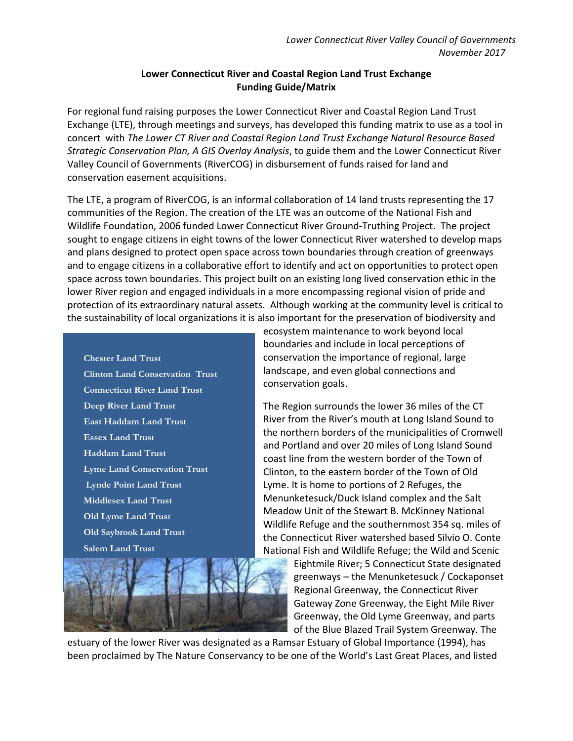## **Lower Connecticut River and Coastal Region Land Trust Exchange Funding Guide/Matrix**

For regional fund raising purposes the Lower Connecticut River and Coastal Region Land Trust Exchange (LTE), through meetings and surveys, has developed this funding matrix to use as a tool in concert with *The Lower CT River and Coastal Region Land Trust Exchange Natural Resource Based Strategic Conservation Plan, A GIS Overlay Analysis*, to guide them and the Lower Connecticut River Valley Council of Governments (RiverCOG) in disbursement of funds raised for land and conservation easement acquisitions.

The LTE, a program of RiverCOG, is an informal collaboration of 14 land trusts representing the 17 communities of the Region. The creation of the LTE was an outcome of the National Fish and Wildlife Foundation, 2006 funded Lower Connecticut River Ground-Truthing Project. The project sought to engage citizens in eight towns of the lower Connecticut River watershed to develop maps and plans designed to protect open space across town boundaries through creation of greenways and to engage citizens in a collaborative effort to identify and act on opportunities to protect open space across town boundaries. This project built on an existing long lived conservation ethic in the lower River region and engaged individuals in a more encompassing regional vision of pride and protection of its extraordinary natural assets. Although working at the community level is critical to the sustainability of local organizations it is also important for the preservation of biodiversity and

**Chester Land Trust Clinton Land Conservation Trust Connecticut River Land Trust Deep River Land Trust East Haddam Land Trust Essex Land Trust Haddam Land Trust Lyme Land Conservation Trust Lynde Point Land Trust Middlesex Land Trust Old Lyme Land Trust Old Saybrook Land Trust Salem Land Trust**



ecosystem maintenance to work beyond local boundaries and include in local perceptions of conservation the importance of regional, large landscape, and even global connections and conservation goals.

The Region surrounds the lower 36 miles of the CT River from the River's mouth at Long Island Sound to the northern borders of the municipalities of Cromwell and Portland and over 20 miles of Long Island Sound coast line from the western border of the Town of Clinton, to the eastern border of the Town of Old Lyme. It is home to portions of 2 Refuges, the Menunketesuck/Duck Island complex and the Salt Meadow Unit of the Stewart B. McKinney National Wildlife Refuge and the southernmost 354 sq. miles of the Connecticut River watershed based Silvio O. Conte National Fish and Wildlife Refuge; the Wild and Scenic

> Eightmile River; 5 Connecticut State designated greenways – the Menunketesuck / Cockaponset Regional Greenway, the Connecticut River Gateway Zone Greenway, the Eight Mile River Greenway, the Old Lyme Greenway, and parts of the Blue Blazed Trail System Greenway. The

estuary of the lower River was designated as a Ramsar Estuary of Global Importance (1994), has been proclaimed by The Nature Conservancy to be one of the World's Last Great Places, and listed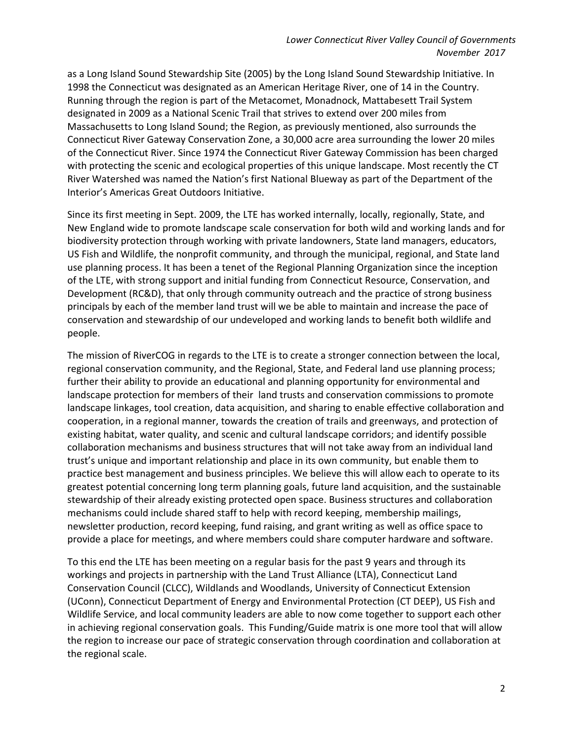as a Long Island Sound Stewardship Site (2005) by the Long Island Sound Stewardship Initiative. In 1998 the Connecticut was designated as an American Heritage River, one of 14 in the Country. Running through the region is part of the Metacomet, Monadnock, Mattabesett Trail System designated in 2009 as a National Scenic Trail that strives to extend over 200 miles from Massachusetts to Long Island Sound; the Region, as previously mentioned, also surrounds the Connecticut River Gateway Conservation Zone, a 30,000 acre area surrounding the lower 20 miles of the Connecticut River. Since 1974 the Connecticut River Gateway Commission has been charged with protecting the scenic and ecological properties of this unique landscape. Most recently the CT River Watershed was named the Nation's first National Blueway as part of the Department of the Interior's Americas Great Outdoors Initiative.

Since its first meeting in Sept. 2009, the LTE has worked internally, locally, regionally, State, and New England wide to promote landscape scale conservation for both wild and working lands and for biodiversity protection through working with private landowners, State land managers, educators, US Fish and Wildlife, the nonprofit community, and through the municipal, regional, and State land use planning process. It has been a tenet of the Regional Planning Organization since the inception of the LTE, with strong support and initial funding from Connecticut Resource, Conservation, and Development (RC&D), that only through community outreach and the practice of strong business principals by each of the member land trust will we be able to maintain and increase the pace of conservation and stewardship of our undeveloped and working lands to benefit both wildlife and people.

The mission of RiverCOG in regards to the LTE is to create a stronger connection between the local, regional conservation community, and the Regional, State, and Federal land use planning process; further their ability to provide an educational and planning opportunity for environmental and landscape protection for members of their land trusts and conservation commissions to promote landscape linkages, tool creation, data acquisition, and sharing to enable effective collaboration and cooperation, in a regional manner, towards the creation of trails and greenways, and protection of existing habitat, water quality, and scenic and cultural landscape corridors; and identify possible collaboration mechanisms and business structures that will not take away from an individual land trust's unique and important relationship and place in its own community, but enable them to practice best management and business principles. We believe this will allow each to operate to its greatest potential concerning long term planning goals, future land acquisition, and the sustainable stewardship of their already existing protected open space. Business structures and collaboration mechanisms could include shared staff to help with record keeping, membership mailings, newsletter production, record keeping, fund raising, and grant writing as well as office space to provide a place for meetings, and where members could share computer hardware and software.

To this end the LTE has been meeting on a regular basis for the past 9 years and through its workings and projects in partnership with the Land Trust Alliance (LTA), Connecticut Land Conservation Council (CLCC), Wildlands and Woodlands, University of Connecticut Extension (UConn), Connecticut Department of Energy and Environmental Protection (CT DEEP), US Fish and Wildlife Service, and local community leaders are able to now come together to support each other in achieving regional conservation goals. This Funding/Guide matrix is one more tool that will allow the region to increase our pace of strategic conservation through coordination and collaboration at the regional scale.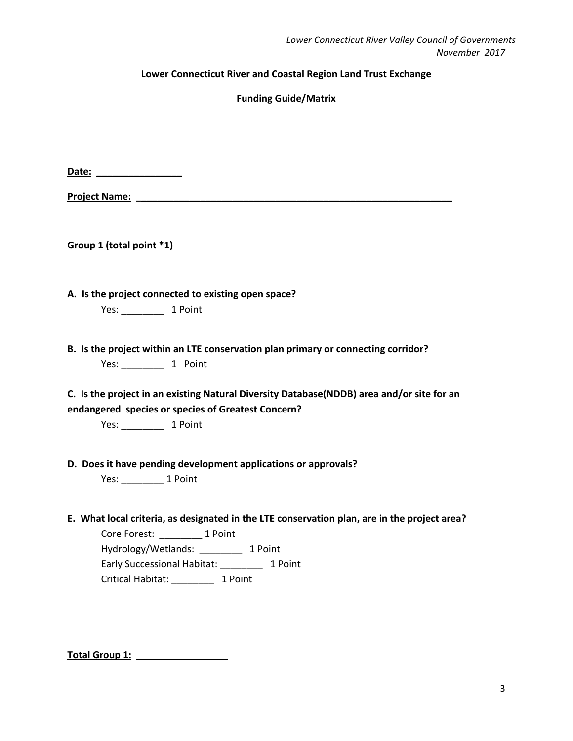### **Lower Connecticut River and Coastal Region Land Trust Exchange**

**Funding Guide/Matrix**

**Date: \_\_\_\_\_\_\_\_\_\_\_\_\_\_\_\_**

**Project Name: \_\_\_\_\_\_\_\_\_\_\_\_\_\_\_\_\_\_\_\_\_\_\_\_\_\_\_\_\_\_\_\_\_\_\_\_\_\_\_\_\_\_\_\_\_\_\_\_\_\_\_\_\_\_\_\_\_\_\_**

**Group 1 (total point \*1)**

**A. Is the project connected to existing open space?**

Yes: \_\_\_\_\_\_\_\_ 1 Point

**B. Is the project within an LTE conservation plan primary or connecting corridor?** Yes: \_\_\_\_\_\_\_\_ 1 Point

**C. Is the project in an existing Natural Diversity Database(NDDB) area and/or site for an endangered species or species of Greatest Concern?**

Yes: \_\_\_\_\_\_\_\_ 1 Point

**D. Does it have pending development applications or approvals?**

Yes: \_\_\_\_\_\_\_\_ 1 Point

**E. What local criteria, as designated in the LTE conservation plan, are in the project area?**

Core Forest: \_\_\_\_\_\_\_\_ 1 Point Hydrology/Wetlands: \_\_\_\_\_\_\_\_ 1 Point Early Successional Habitat: \_\_\_\_\_\_\_\_ 1 Point Critical Habitat: \_\_\_\_\_\_\_\_ 1 Point

**Total Group 1: \_\_\_\_\_\_\_\_\_\_\_\_\_\_\_\_\_**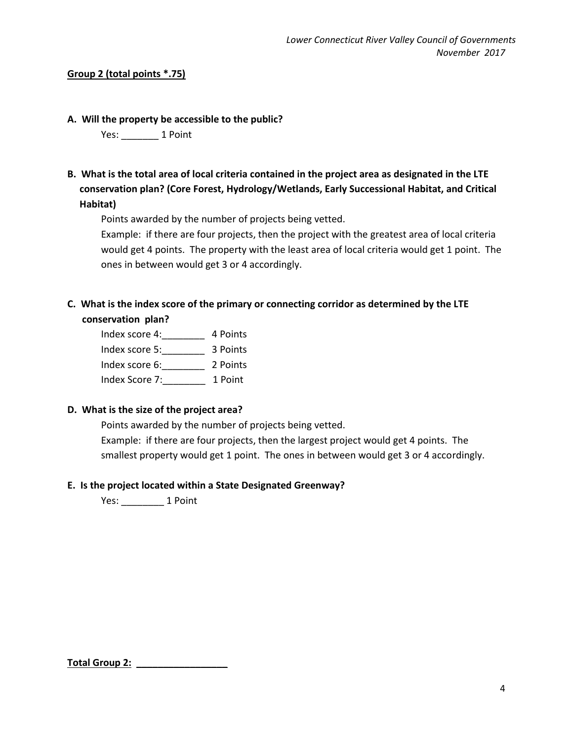## **Group 2 (total points \*.75)**

### **A. Will the property be accessible to the public?**

Yes: 1 Point

**B. What is the total area of local criteria contained in the project area as designated in the LTE conservation plan? (Core Forest, Hydrology/Wetlands, Early Successional Habitat, and Critical Habitat)**

Points awarded by the number of projects being vetted.

Example: if there are four projects, then the project with the greatest area of local criteria would get 4 points. The property with the least area of local criteria would get 1 point. The ones in between would get 3 or 4 accordingly.

# **C. What is the index score of the primary or connecting corridor as determined by the LTE conservation plan?**

Index score 4:\_\_\_\_\_\_\_\_ 4 Points Index score 5:\_\_\_\_\_\_\_\_ 3 Points Index score 6:\_\_\_\_\_\_\_\_ 2 Points Index Score 7:\_\_\_\_\_\_\_\_ 1 Point

## **D. What is the size of the project area?**

Points awarded by the number of projects being vetted. Example: if there are four projects, then the largest project would get 4 points. The smallest property would get 1 point. The ones in between would get 3 or 4 accordingly.

## **E. Is the project located within a State Designated Greenway?**

Yes: 1 Point

**Total Group 2: \_\_\_\_\_\_\_\_\_\_\_\_\_\_\_\_\_**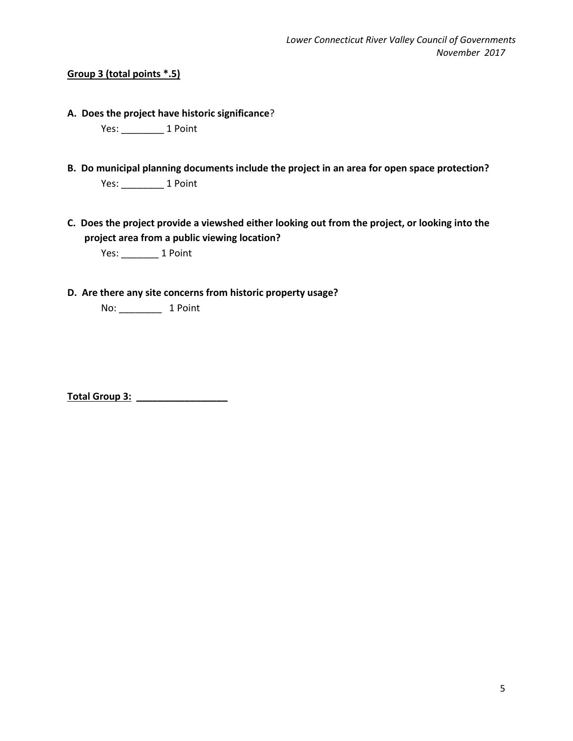## **Group 3 (total points \*.5)**

**A. Does the project have historic significance**?

Yes: \_\_\_\_\_\_\_\_ 1 Point

- **B. Do municipal planning documents include the project in an area for open space protection?** Yes: \_\_\_\_\_\_\_\_ 1 Point
- **C. Does the project provide a viewshed either looking out from the project, or looking into the project area from a public viewing location?**

Yes: \_\_\_\_\_\_\_ 1 Point

**D. Are there any site concerns from historic property usage?**

No: \_\_\_\_\_\_\_\_ 1 Point

**Total Group 3: \_\_\_\_\_\_\_\_\_\_\_\_\_\_\_\_\_**